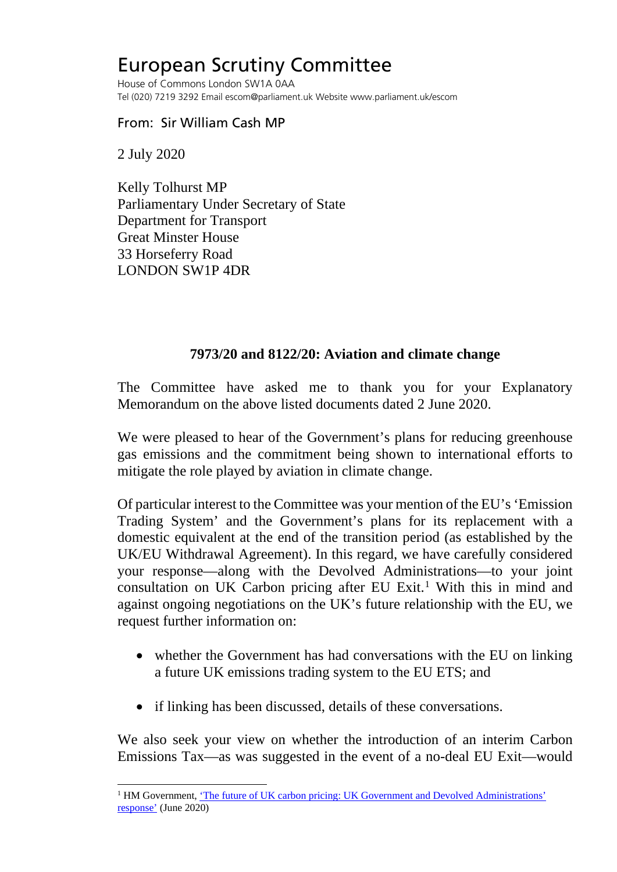## European Scrutiny Committee

House of Commons London SW1A 0AA Tel (020) 7219 3292 Email escom@parliament.uk Website www.parliament.uk/escom

## From: Sir William Cash MP

2 July 2020

Kelly Tolhurst MP Parliamentary Under Secretary of State Department for Transport Great Minster House 33 Horseferry Road LONDON SW1P 4DR

## **7973/20 and 8122/20: Aviation and climate change**

The Committee have asked me to thank you for your Explanatory Memorandum on the above listed documents dated 2 June 2020.

We were pleased to hear of the Government's plans for reducing greenhouse gas emissions and the commitment being shown to international efforts to mitigate the role played by aviation in climate change.

Of particular interest to the Committee was your mention of the EU's 'Emission Trading System' and the Government's plans for its replacement with a domestic equivalent at the end of the transition period (as established by the UK/EU Withdrawal Agreement). In this regard, we have carefully considered your response—along with the Devolved Administrations—to your joint consultation on UK Carbon pricing after EU Exit.<sup>[1](#page-0-0)</sup> With this in mind and against ongoing negotiations on the UK's future relationship with the EU, we request further information on:

- whether the Government has had conversations with the EU on linking a future UK emissions trading system to the EU ETS; and
- if linking has been discussed, details of these conversations.

We also seek your view on whether the introduction of an interim Carbon Emissions Tax—as was suggested in the event of a no-deal EU Exit—would

<span id="page-0-0"></span><sup>&</sup>lt;sup>1</sup> HM Government, 'The future of UK carbon pricing: UK Government and Devolved Administrations' [response'](https://assets.publishing.service.gov.uk/government/uploads/system/uploads/attachment_data/file/889037/Government_Response_to_Consultation_on_Future_of_UK_Carbon_Pricing.pdf) (June 2020)